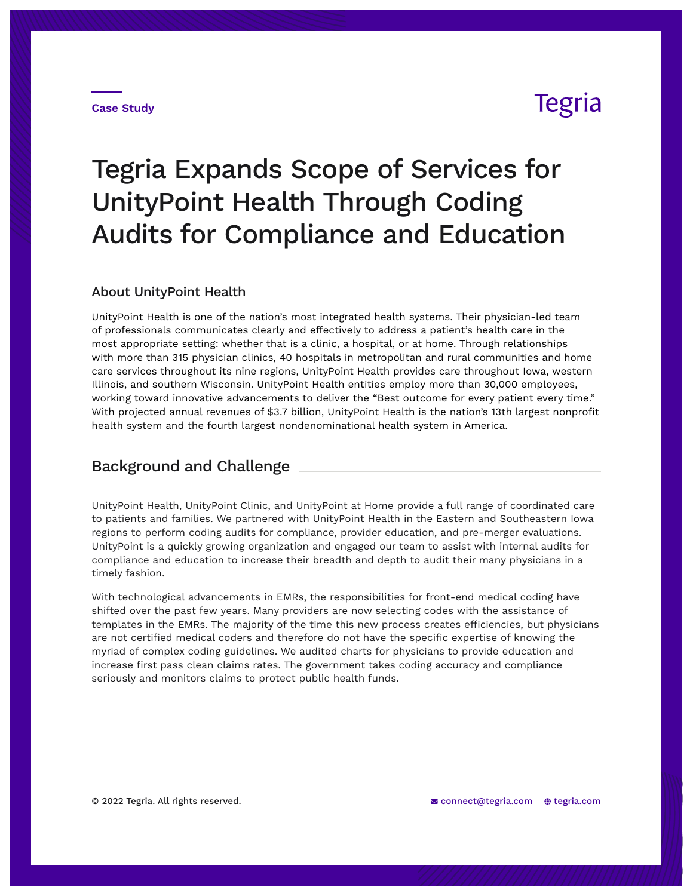#### **Case Study**

## **Tegria**

# Tegria Expands Scope of Services for UnityPoint Health Through Coding Audits for Compliance and Education

#### About UnityPoint Health

UnityPoint Health is one of the nation's most integrated health systems. Their physician-led team of professionals communicates clearly and effectively to address a patient's health care in the most appropriate setting: whether that is a clinic, a hospital, or at home. Through relationships with more than 315 physician clinics, 40 hospitals in metropolitan and rural communities and home care services throughout its nine regions, UnityPoint Health provides care throughout Iowa, western Illinois, and southern Wisconsin. UnityPoint Health entities employ more than 30,000 employees, working toward innovative advancements to deliver the "Best outcome for every patient every time." With projected annual revenues of \$3.7 billion, UnityPoint Health is the nation's 13th largest nonprofit health system and the fourth largest nondenominational health system in America.

### Background and Challenge

UnityPoint Health, UnityPoint Clinic, and UnityPoint at Home provide a full range of coordinated care to patients and families. We partnered with UnityPoint Health in the Eastern and Southeastern Iowa regions to perform coding audits for compliance, provider education, and pre-merger evaluations. UnityPoint is a quickly growing organization and engaged our team to assist with internal audits for compliance and education to increase their breadth and depth to audit their many physicians in a timely fashion.

With technological advancements in EMRs, the responsibilities for front-end medical coding have shifted over the past few years. Many providers are now selecting codes with the assistance of templates in the EMRs. The majority of the time this new process creates efficiencies, but physicians are not certified medical coders and therefore do not have the specific expertise of knowing the myriad of complex coding guidelines. We audited charts for physicians to provide education and increase first pass clean claims rates. The government takes coding accuracy and compliance seriously and monitors claims to protect public health funds.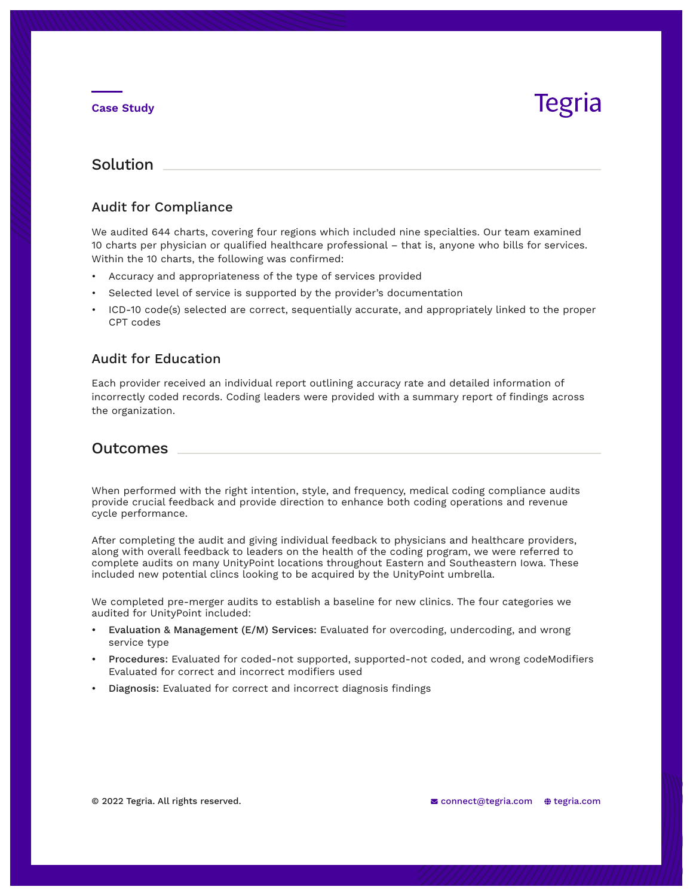#### **Case Study**

## Tegria

### Solution

#### Audit for Compliance

We audited 644 charts, covering four regions which included nine specialties. Our team examined 10 charts per physician or qualified healthcare professional – that is, anyone who bills for services. Within the 10 charts, the following was confirmed:

- Accuracy and appropriateness of the type of services provided
- Selected level of service is supported by the provider's documentation
- ICD-10 code(s) selected are correct, sequentially accurate, and appropriately linked to the proper CPT codes

#### Audit for Education

Each provider received an individual report outlining accuracy rate and detailed information of incorrectly coded records. Coding leaders were provided with a summary report of findings across the organization.

### Outcomes

When performed with the right intention, style, and frequency, medical coding compliance audits provide crucial feedback and provide direction to enhance both coding operations and revenue cycle performance.

After completing the audit and giving individual feedback to physicians and healthcare providers, along with overall feedback to leaders on the health of the coding program, we were referred to complete audits on many UnityPoint locations throughout Eastern and Southeastern Iowa. These included new potential clincs looking to be acquired by the UnityPoint umbrella.

We completed pre-merger audits to establish a baseline for new clinics. The four categories we audited for UnityPoint included:

- Evaluation & Management (E/M) Services: Evaluated for overcoding, undercoding, and wrong service type
- Procedures: Evaluated for coded-not supported, supported-not coded, and wrong codeModifiers Evaluated for correct and incorrect modifiers used
- Diagnosis: Evaluated for correct and incorrect diagnosis findings